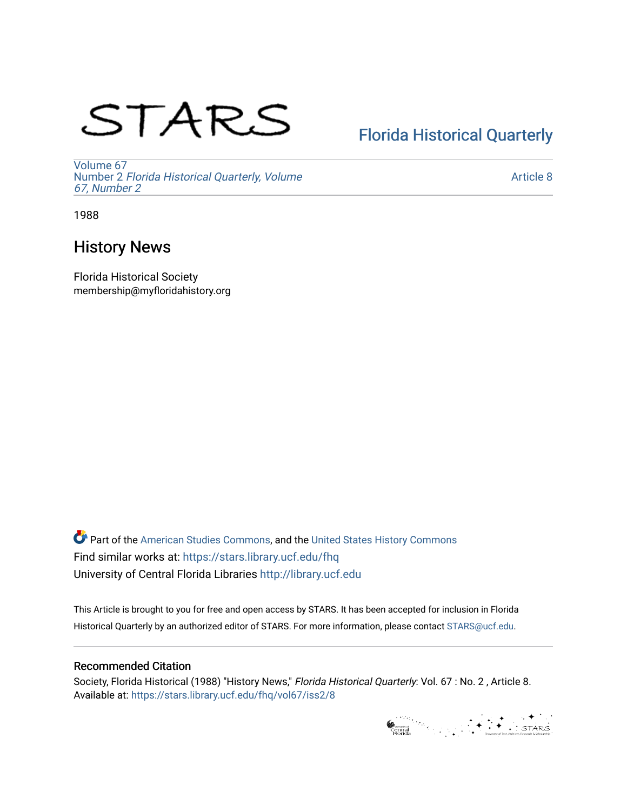# STARS

# [Florida Historical Quarterly](https://stars.library.ucf.edu/fhq)

[Volume 67](https://stars.library.ucf.edu/fhq/vol67) Number 2 [Florida Historical Quarterly, Volume](https://stars.library.ucf.edu/fhq/vol67/iss2)  [67, Number 2](https://stars.library.ucf.edu/fhq/vol67/iss2)

[Article 8](https://stars.library.ucf.edu/fhq/vol67/iss2/8) 

1988

# History News

Florida Historical Society membership@myfloridahistory.org

**C** Part of the [American Studies Commons](http://network.bepress.com/hgg/discipline/439?utm_source=stars.library.ucf.edu%2Ffhq%2Fvol67%2Fiss2%2F8&utm_medium=PDF&utm_campaign=PDFCoverPages), and the United States History Commons Find similar works at: <https://stars.library.ucf.edu/fhq> University of Central Florida Libraries [http://library.ucf.edu](http://library.ucf.edu/) 

This Article is brought to you for free and open access by STARS. It has been accepted for inclusion in Florida Historical Quarterly by an authorized editor of STARS. For more information, please contact [STARS@ucf.edu.](mailto:STARS@ucf.edu)

# Recommended Citation

Society, Florida Historical (1988) "History News," Florida Historical Quarterly: Vol. 67 : No. 2 , Article 8. Available at: [https://stars.library.ucf.edu/fhq/vol67/iss2/8](https://stars.library.ucf.edu/fhq/vol67/iss2/8?utm_source=stars.library.ucf.edu%2Ffhq%2Fvol67%2Fiss2%2F8&utm_medium=PDF&utm_campaign=PDFCoverPages) 

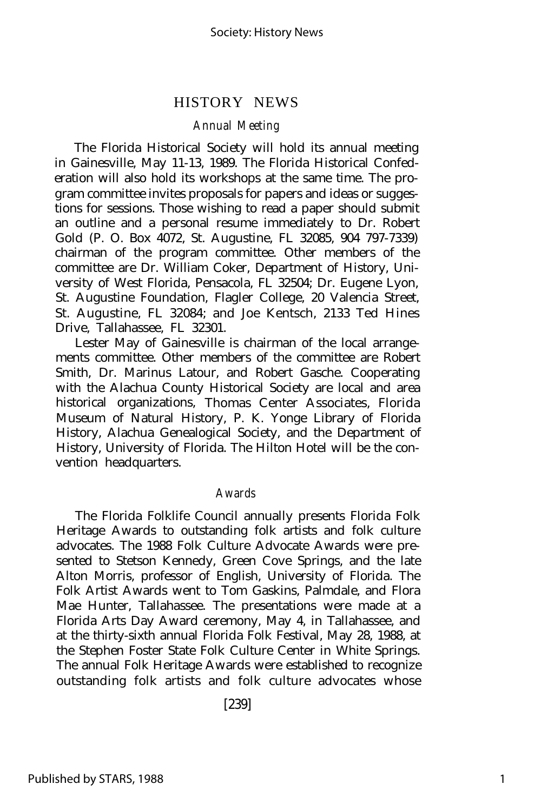## HISTORY NEWS

#### *Annual Meeting*

The Florida Historical Society will hold its annual meeting in Gainesville, May 11-13, 1989. The Florida Historical Confederation will also hold its workshops at the same time. The program committee invites proposals for papers and ideas or suggestions for sessions. Those wishing to read a paper should submit an outline and a personal resume immediately to Dr. Robert Gold (P. O. Box 4072, St. Augustine, FL 32085, 904 797-7339) chairman of the program committee. Other members of the committee are Dr. William Coker, Department of History, University of West Florida, Pensacola, FL 32504; Dr. Eugene Lyon, St. Augustine Foundation, Flagler College, 20 Valencia Street, St. Augustine, FL 32084; and Joe Kentsch, 2133 Ted Hines Drive, Tallahassee, FL 32301.

Lester May of Gainesville is chairman of the local arrangements committee. Other members of the committee are Robert Smith, Dr. Marinus Latour, and Robert Gasche. Cooperating with the Alachua County Historical Society are local and area historical organizations, Thomas Center Associates, Florida Museum of Natural History, P. K. Yonge Library of Florida History, Alachua Genealogical Society, and the Department of History, University of Florida. The Hilton Hotel will be the convention headquarters.

#### *Awards*

The Florida Folklife Council annually presents Florida Folk Heritage Awards to outstanding folk artists and folk culture advocates. The 1988 Folk Culture Advocate Awards were presented to Stetson Kennedy, Green Cove Springs, and the late Alton Morris, professor of English, University of Florida. The Folk Artist Awards went to Tom Gaskins, Palmdale, and Flora Mae Hunter, Tallahassee. The presentations were made at a Florida Arts Day Award ceremony, May 4, in Tallahassee, and at the thirty-sixth annual Florida Folk Festival, May 28, 1988, at the Stephen Foster State Folk Culture Center in White Springs. The annual Folk Heritage Awards were established to recognize outstanding folk artists and folk culture advocates whose

[239]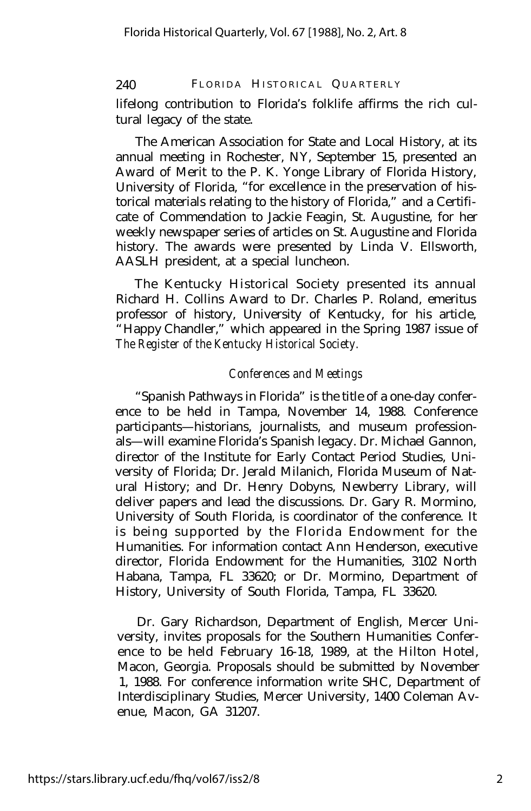## 240 FLORIDA HISTORICAL QUARTERLY

lifelong contribution to Florida's folklife affirms the rich cultural legacy of the state.

The American Association for State and Local History, at its annual meeting in Rochester, NY, September 15, presented an Award of Merit to the P. K. Yonge Library of Florida History, University of Florida, "for excellence in the preservation of historical materials relating to the history of Florida," and a Certificate of Commendation to Jackie Feagin, St. Augustine, for her weekly newspaper series of articles on St. Augustine and Florida history. The awards were presented by Linda V. Ellsworth, AASLH president, at a special luncheon.

The Kentucky Historical Society presented its annual Richard H. Collins Award to Dr. Charles P. Roland, emeritus professor of history, University of Kentucky, for his article, "Happy Chandler," which appeared in the Spring 1987 issue of *The Register of the Kentucky Historical Society.*

## *Conferences and Meetings*

"Spanish Pathways in Florida" is the title of a one-day conference to be held in Tampa, November 14, 1988. Conference participants— historians, journalists, and museum professionals— will examine Florida's Spanish legacy. Dr. Michael Gannon, director of the Institute for Early Contact Period Studies, University of Florida; Dr. Jerald Milanich, Florida Museum of Natural History; and Dr. Henry Dobyns, Newberry Library, will deliver papers and lead the discussions. Dr. Gary R. Mormino, University of South Florida, is coordinator of the conference. It is being supported by the Florida Endowment for the Humanities. For information contact Ann Henderson, executive director, Florida Endowment for the Humanities, 3102 North Habana, Tampa, FL 33620; or Dr. Mormino, Department of History, University of South Florida, Tampa, FL 33620.

Dr. Gary Richardson, Department of English, Mercer University, invites proposals for the Southern Humanities Conference to be held February 16-18, 1989, at the Hilton Hotel, Macon, Georgia. Proposals should be submitted by November 1, 1988. For conference information write SHC, Department of Interdisciplinary Studies, Mercer University, 1400 Coleman Avenue, Macon, GA 31207.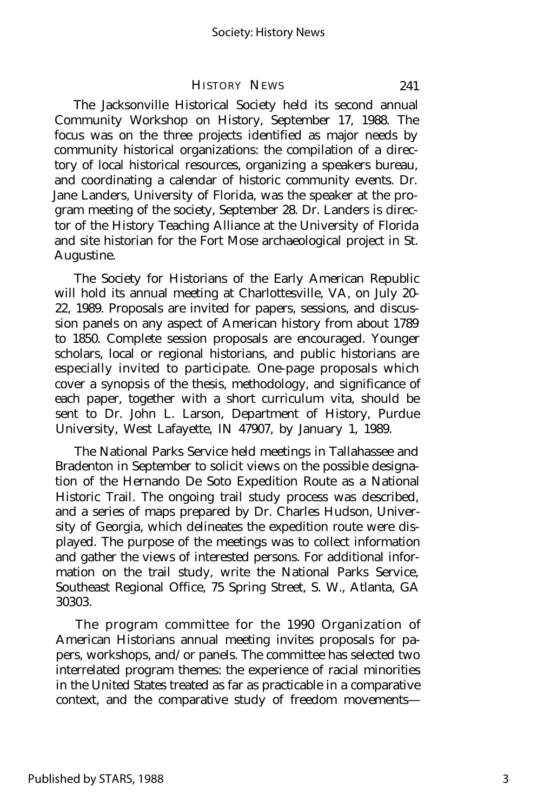#### HISTORY NEWS 241

The Jacksonville Historical Society held its second annual Community Workshop on History, September 17, 1988. The focus was on the three projects identified as major needs by community historical organizations: the compilation of a directory of local historical resources, organizing a speakers bureau, and coordinating a calendar of historic community events. Dr. Jane Landers, University of Florida, was the speaker at the program meeting of the society, September 28. Dr. Landers is director of the History Teaching Alliance at the University of Florida and site historian for the Fort Mose archaeological project in St. Augustine.

The Society for Historians of the Early American Republic will hold its annual meeting at Charlottesville, VA, on July 20- 22, 1989. Proposals are invited for papers, sessions, and discussion panels on any aspect of American history from about 1789 to 1850. Complete session proposals are encouraged. Younger scholars, local or regional historians, and public historians are especially invited to participate. One-page proposals which cover a synopsis of the thesis, methodology, and significance of each paper, together with a short curriculum vita, should be sent to Dr. John L. Larson, Department of History, Purdue University, West Lafayette, IN 47907, by January 1, 1989.

The National Parks Service held meetings in Tallahassee and Bradenton in September to solicit views on the possible designation of the Hernando De Soto Expedition Route as a National Historic Trail. The ongoing trail study process was described, and a series of maps prepared by Dr. Charles Hudson, University of Georgia, which delineates the expedition route were displayed. The purpose of the meetings was to collect information and gather the views of interested persons. For additional information on the trail study, write the National Parks Service, Southeast Regional Office, 75 Spring Street, S. W., Atlanta, GA 30303.

The program committee for the 1990 Organization of American Historians annual meeting invites proposals for papers, workshops, and/or panels. The committee has selected two interrelated program themes: the experience of racial minorities in the United States treated as far as practicable in a comparative context, and the comparative study of freedom movements—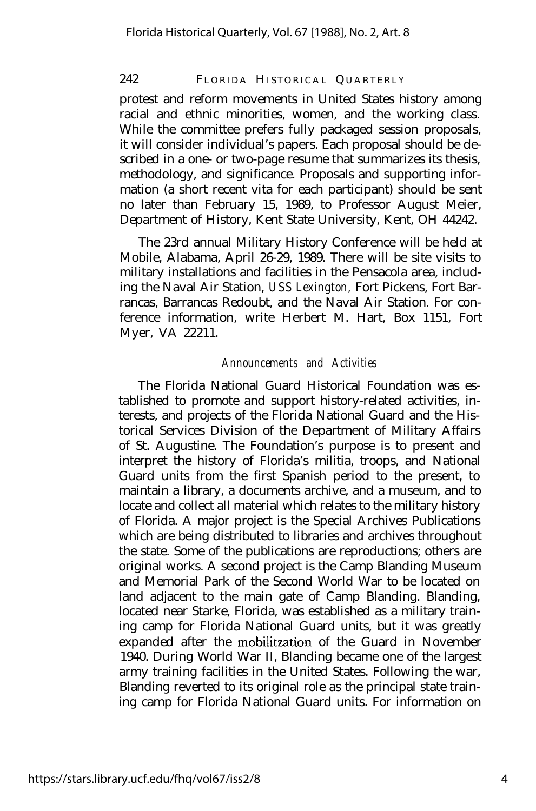#### 242 FLORIDA HISTORICAL QUARTERLY

protest and reform movements in United States history among racial and ethnic minorities, women, and the working class. While the committee prefers fully packaged session proposals, it will consider individual's papers. Each proposal should be described in a one- or two-page resume that summarizes its thesis, methodology, and significance. Proposals and supporting information (a short recent vita for each participant) should be sent no later than February 15, 1989, to Professor August Meier, Department of History, Kent State University, Kent, OH 44242.

The 23rd annual Military History Conference will be held at Mobile, Alabama, April 26-29, 1989. There will be site visits to military installations and facilities in the Pensacola area, including the Naval Air Station, *USS Lexington,* Fort Pickens, Fort Barrancas, Barrancas Redoubt, and the Naval Air Station. For conference information, write Herbert M. Hart, Box 1151, Fort Myer, VA 22211.

#### *Announcements and Activities*

The Florida National Guard Historical Foundation was established to promote and support history-related activities, interests, and projects of the Florida National Guard and the Historical Services Division of the Department of Military Affairs of St. Augustine. The Foundation's purpose is to present and interpret the history of Florida's militia, troops, and National Guard units from the first Spanish period to the present, to maintain a library, a documents archive, and a museum, and to locate and collect all material which relates to the military history of Florida. A major project is the Special Archives Publications which are being distributed to libraries and archives throughout the state. Some of the publications are reproductions; others are original works. A second project is the Camp Blanding Museum and Memorial Park of the Second World War to be located on land adjacent to the main gate of Camp Blanding. Blanding, located near Starke, Florida, was established as a military training camp for Florida National Guard units, but it was greatly expanded after the mobilitzation of the Guard in November 1940. During World War II, Blanding became one of the largest army training facilities in the United States. Following the war, Blanding reverted to its original role as the principal state training camp for Florida National Guard units. For information on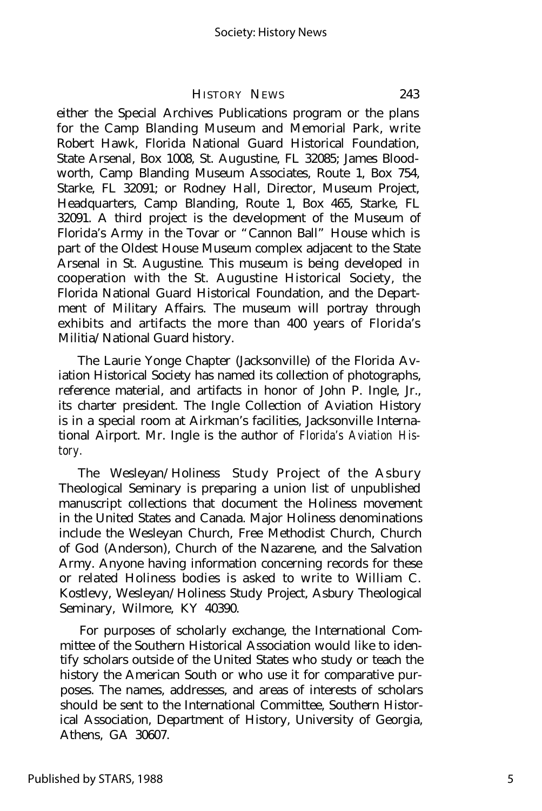#### HISTORY NEWS 243

either the Special Archives Publications program or the plans for the Camp Blanding Museum and Memorial Park, write Robert Hawk, Florida National Guard Historical Foundation, State Arsenal, Box 1008, St. Augustine, FL 32085; James Bloodworth, Camp Blanding Museum Associates, Route 1, Box 754, Starke, FL 32091; or Rodney Hall, Director, Museum Project, Headquarters, Camp Blanding, Route 1, Box 465, Starke, FL 32091. A third project is the development of the Museum of Florida's Army in the Tovar or "Cannon Ball" House which is part of the Oldest House Museum complex adjacent to the State Arsenal in St. Augustine. This museum is being developed in cooperation with the St. Augustine Historical Society, the Florida National Guard Historical Foundation, and the Department of Military Affairs. The museum will portray through exhibits and artifacts the more than 400 years of Florida's Militia/National Guard history.

The Laurie Yonge Chapter (Jacksonville) of the Florida Aviation Historical Society has named its collection of photographs, reference material, and artifacts in honor of John P. Ingle, Jr., its charter president. The Ingle Collection of Aviation History is in a special room at Airkman's facilities, Jacksonville International Airport. Mr. Ingle is the author of *Florida's Aviation History.*

The Wesleyan/Holiness Study Project of the Asbury Theological Seminary is preparing a union list of unpublished manuscript collections that document the Holiness movement in the United States and Canada. Major Holiness denominations include the Wesleyan Church, Free Methodist Church, Church of God (Anderson), Church of the Nazarene, and the Salvation Army. Anyone having information concerning records for these or related Holiness bodies is asked to write to William C. Kostlevy, Wesleyan/Holiness Study Project, Asbury Theological Seminary, Wilmore, KY 40390.

For purposes of scholarly exchange, the International Committee of the Southern Historical Association would like to identify scholars outside of the United States who study or teach the history the American South or who use it for comparative purposes. The names, addresses, and areas of interests of scholars should be sent to the International Committee, Southern Historical Association, Department of History, University of Georgia, Athens, GA 30607.